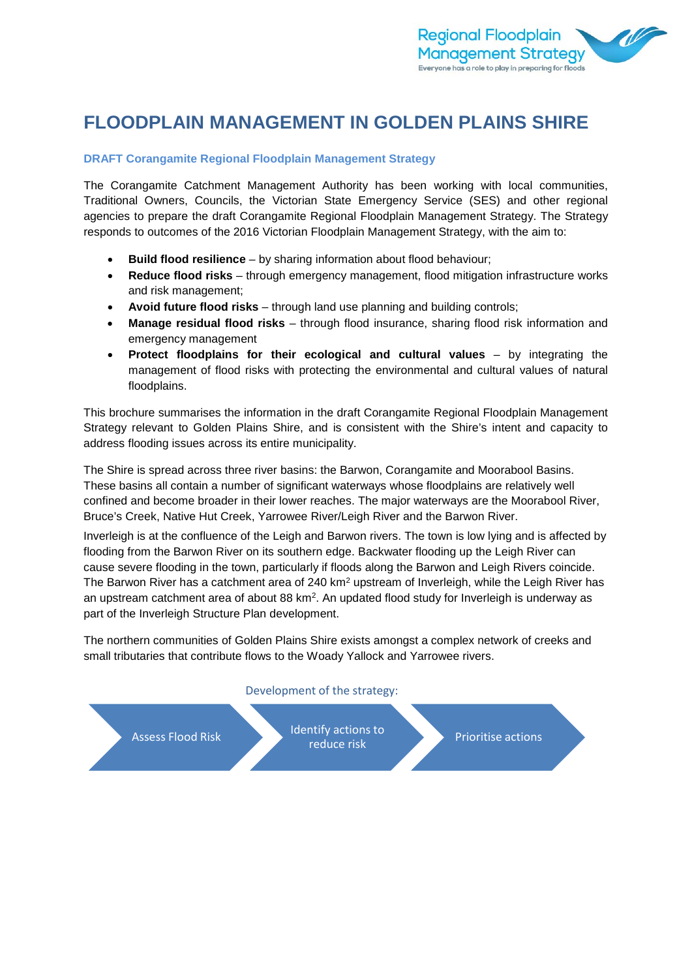

# **FLOODPLAIN MANAGEMENT IN GOLDEN PLAINS SHIRE**

### **DRAFT Corangamite Regional Floodplain Management Strategy**

The Corangamite Catchment Management Authority has been working with local communities, Traditional Owners, Councils, the Victorian State Emergency Service (SES) and other regional agencies to prepare the draft Corangamite Regional Floodplain Management Strategy. The Strategy responds to outcomes of the 2016 Victorian Floodplain Management Strategy, with the aim to:

- **Build flood resilience** by sharing information about flood behaviour;
- **Reduce flood risks** through emergency management, flood mitigation infrastructure works and risk management;
- **Avoid future flood risks** through land use planning and building controls;
- **Manage residual flood risks** through flood insurance, sharing flood risk information and emergency management
- **Protect floodplains for their ecological and cultural values**  by integrating the management of flood risks with protecting the environmental and cultural values of natural floodplains.

This brochure summarises the information in the draft Corangamite Regional Floodplain Management Strategy relevant to Golden Plains Shire, and is consistent with the Shire's intent and capacity to address flooding issues across its entire municipality.

The Shire is spread across three river basins: the Barwon, Corangamite and Moorabool Basins. These basins all contain a number of significant waterways whose floodplains are relatively well confined and become broader in their lower reaches. The major waterways are the Moorabool River, Bruce's Creek, Native Hut Creek, Yarrowee River/Leigh River and the Barwon River.

Inverleigh is at the confluence of the Leigh and Barwon rivers. The town is low lying and is affected by flooding from the Barwon River on its southern edge. Backwater flooding up the Leigh River can cause severe flooding in the town, particularly if floods along the Barwon and Leigh Rivers coincide. The Barwon River has a catchment area of 240 km<sup>2</sup> upstream of Inverleigh, while the Leigh River has an upstream catchment area of about 88 km2. An updated flood study for Inverleigh is underway as part of the Inverleigh Structure Plan development.

The northern communities of Golden Plains Shire exists amongst a complex network of creeks and small tributaries that contribute flows to the Woady Yallock and Yarrowee rivers.

#### Development of the strategy:

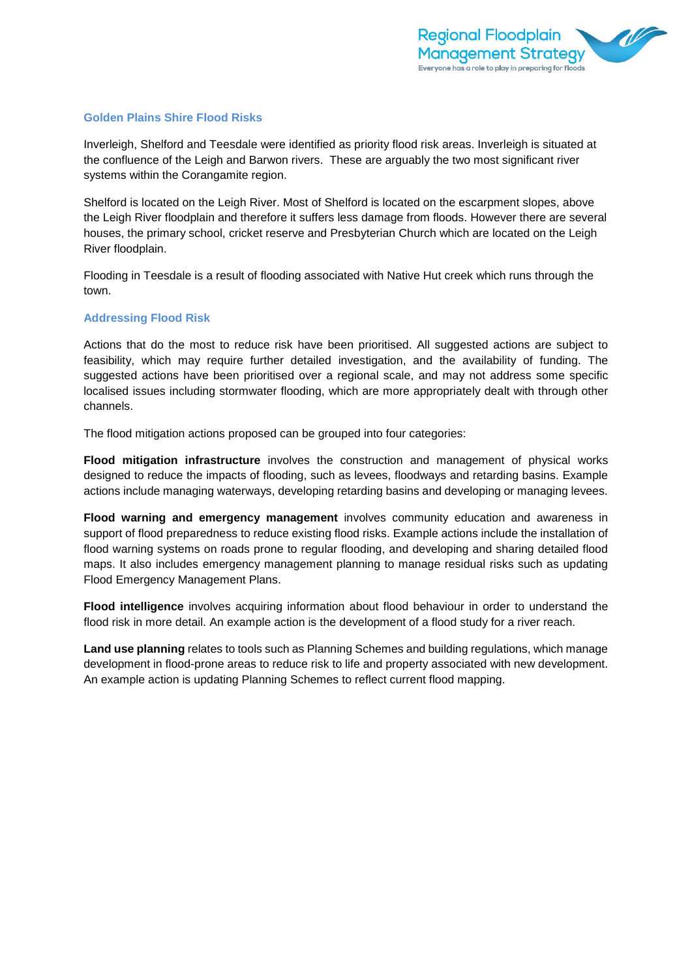#### **Golden Plains Shire Flood Risks**

Inverleigh, Shelford and Teesdale were identified as priority flood risk areas. Inverleigh is situated at the confluence of the Leigh and Barwon rivers. These are arguably the two most significant river systems within the Corangamite region.

Shelford is located on the Leigh River. Most of Shelford is located on the escarpment slopes, above the Leigh River floodplain and therefore it suffers less damage from floods. However there are several houses, the primary school, cricket reserve and Presbyterian Church which are located on the Leigh River floodplain.

Flooding in Teesdale is a result of flooding associated with Native Hut creek which runs through the town.

#### **Addressing Flood Risk**

Actions that do the most to reduce risk have been prioritised. All suggested actions are subject to feasibility, which may require further detailed investigation, and the availability of funding. The suggested actions have been prioritised over a regional scale, and may not address some specific localised issues including stormwater flooding, which are more appropriately dealt with through other channels.

The flood mitigation actions proposed can be grouped into four categories:

**Flood mitigation infrastructure** involves the construction and management of physical works designed to reduce the impacts of flooding, such as levees, floodways and retarding basins. Example actions include managing waterways, developing retarding basins and developing or managing levees.

**Flood warning and emergency management** involves community education and awareness in support of flood preparedness to reduce existing flood risks. Example actions include the installation of flood warning systems on roads prone to regular flooding, and developing and sharing detailed flood maps. It also includes emergency management planning to manage residual risks such as updating Flood Emergency Management Plans.

**Flood intelligence** involves acquiring information about flood behaviour in order to understand the flood risk in more detail. An example action is the development of a flood study for a river reach.

**Land use planning** relates to tools such as Planning Schemes and building regulations, which manage development in flood-prone areas to reduce risk to life and property associated with new development. An example action is updating Planning Schemes to reflect current flood mapping.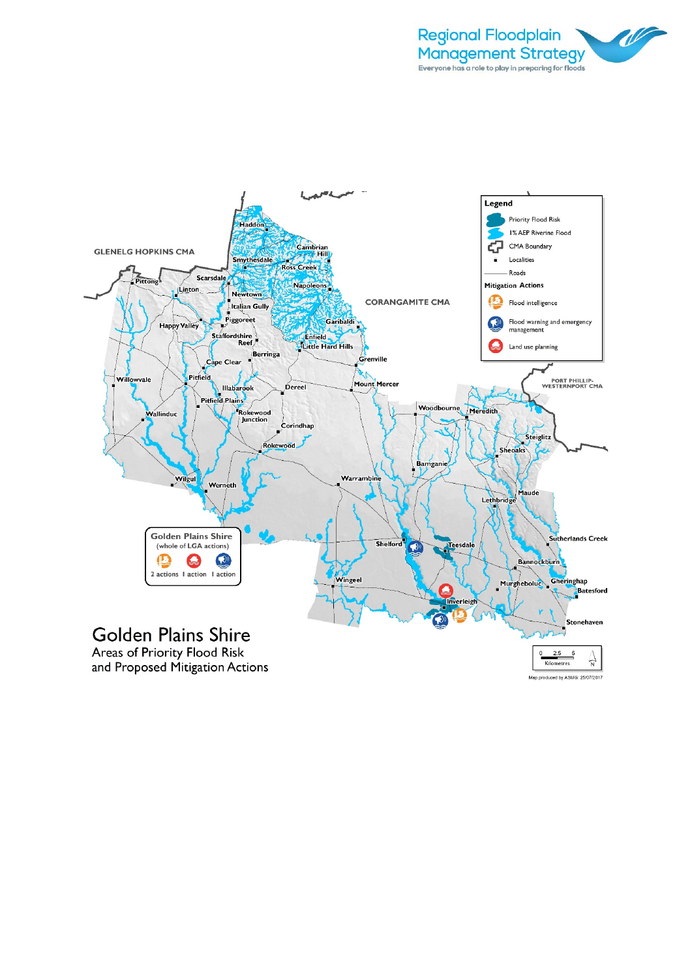